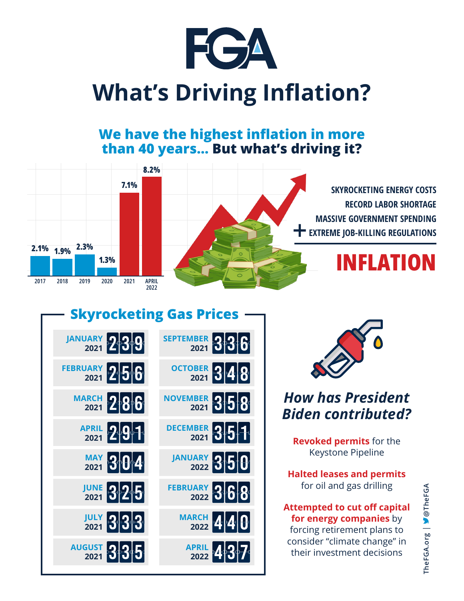

# **What's Driving Inflation?**

#### **We have the highest inflation in more than 40 years… But what's driving it?**







### *How has President Biden contributed?*

**Revoked permits** for the Keystone Pipeline

**Halted leases and permits** for oil and gas drilling

#### **Attempted to cut off capital for energy companies** by

forcing retirement plans to consider "climate change" in their investment decisions